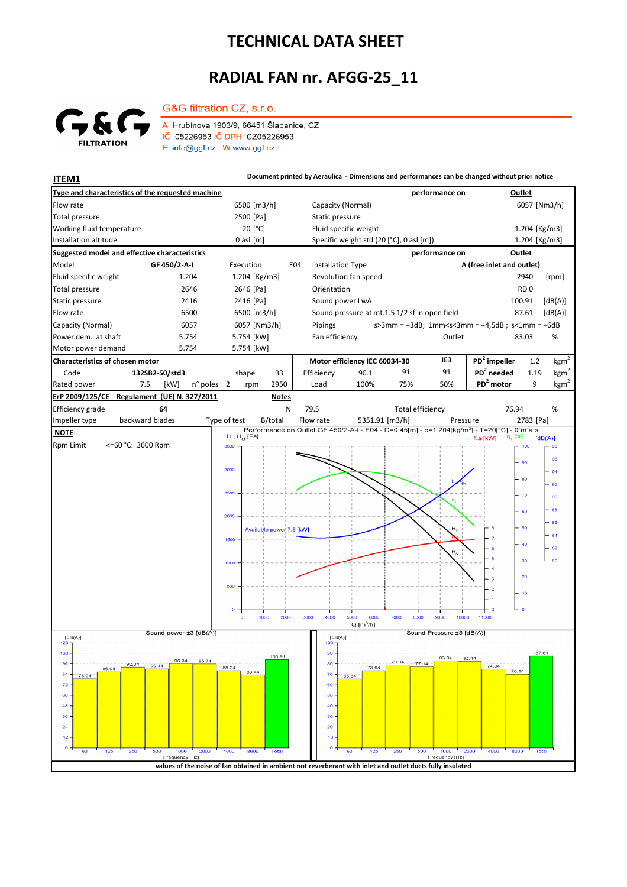## **TECHNICAL DATA SHEET**

## **RADIAL FAN nr. AFGG-25\_11**



A Hrubínova 1903/9, 66451 Šlapanice, CZ IČ 05226953 IČ DPH CZ05226953  $E$  info@ggf.cz W www.ggf.cz

G&G filtration CZ, s.r.o.

**ITEM1 Document printed by Aeraulica** - Dimensions and performances can be changed without prior notice